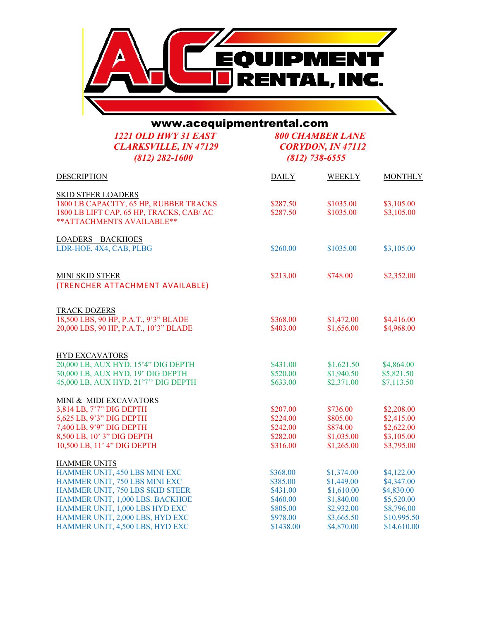

www.acequipmentrental.com

*1221 OLD HWY 31 EAST 800 CHAMBER LANE CLARKSVILLE, IN 47129 CORYDON, IN 4*<br>(812) 282-1600 (812) 738-6555 *(812) 282-1600* 

| <b>DESCRIPTION</b>                       | <b>DAILY</b> | <b>WEEKLY</b> | <b>MONTHLY</b> |
|------------------------------------------|--------------|---------------|----------------|
| <b>SKID STEER LOADERS</b>                |              |               |                |
| 1800 LB CAPACITY, 65 HP, RUBBER TRACKS   | \$287.50     | \$1035.00     | \$3,105.00     |
| 1800 LB LIFT CAP, 65 HP, TRACKS, CAB/ AC | \$287.50     | \$1035.00     | \$3,105.00     |
| ** ATTACHMENTS AVAILABLE**               |              |               |                |
| <b>LOADERS - BACKHOES</b>                |              |               |                |
| LDR-HOE, 4X4, CAB, PLBG                  | \$260.00     | \$1035.00     | \$3,105.00     |
| <b>MINI SKID STEER</b>                   | \$213.00     | \$748.00      | \$2,352.00     |
| (TRENCHER ATTACHMENT AVAILABLE)          |              |               |                |
| <b>TRACK DOZERS</b>                      |              |               |                |
| 18,500 LBS, 90 HP, P.A.T., 9'3" BLADE    | \$368.00     | \$1,472.00    | \$4,416.00     |
| 20,000 LBS, 90 HP, P.A.T., 10'3" BLADE   | \$403.00     | \$1,656.00    | \$4,968.00     |
|                                          |              |               |                |
| <b>HYD EXCAVATORS</b>                    |              |               |                |
| 20,000 LB, AUX HYD, 15'4" DIG DEPTH      | \$431.00     | \$1,621.50    | \$4,864.00     |
| 30,000 LB, AUX HYD, 19' DIG DEPTH        | \$520.00     | \$1,940.50    | \$5,821.50     |
| 45,000 LB, AUX HYD, 21'7" DIG DEPTH      | \$633.00     | \$2,371.00    | \$7,113.50     |
| MINI & MIDI EXCAVATORS                   |              |               |                |
| 3,814 LB, 7'7" DIG DEPTH                 | \$207.00     | \$736.00      | \$2,208.00     |
| 5,625 LB, 9'3" DIG DEPTH                 | \$224.00     | \$805.00      | \$2,415.00     |
| 7,400 LB, 9'9" DIG DEPTH                 | \$242.00     | \$874.00      | \$2,622.00     |
| 8,500 LB, 10' 3" DIG DEPTH               | \$282.00     | \$1,035.00    | \$3,105.00     |
| 10,500 LB, 11' 4" DIG DEPTH              | \$316.00     | \$1,265.00    | \$3,795.00     |
| <b>HAMMER UNITS</b>                      |              |               |                |
| HAMMER UNIT, 450 LBS MINI EXC            | \$368.00     | \$1,374.00    | \$4,122.00     |
| HAMMER UNIT, 750 LBS MINI EXC            | \$385.00     | \$1,449.00    | \$4,347.00     |
| HAMMER UNIT, 750 LBS SKID STEER          | \$431.00     | \$1,610.00    | \$4,830.00     |
| HAMMER UNIT, 1,000 LBS. BACKHOE          | \$460.00     | \$1,840.00    | \$5,520.00     |
| HAMMER UNIT, 1,000 LBS HYD EXC           | \$805.00     | \$2,932.00    | \$8,796.00     |
| HAMMER UNIT, 2,000 LBS, HYD EXC          | \$978.00     | \$3,665.50    | \$10,995.50    |
| HAMMER UNIT, 4,500 LBS, HYD EXC          | \$1438.00    | \$4,870.00    | \$14,610.00    |